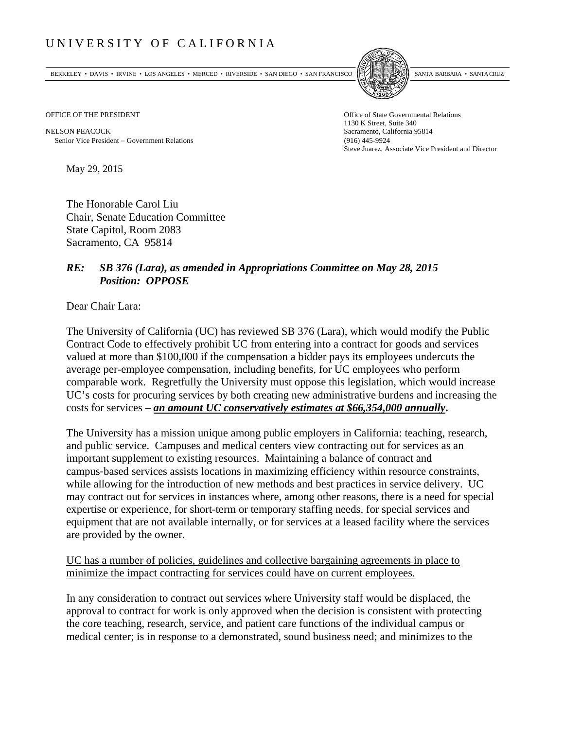## UNIVERSITY OF CALIFORNIA

BERKELEY • DAVIS • IRVINE • LOS ANGELES • MERCED • RIVERSIDE • SAN DIEGO • SAN FRANCISCO SANTA BARBARA • SANTA CRUZ



OFFICE OF THE PRESIDENT STATES OF THE PRESIDENT

NELSON PEACOCK Sacramento, California 95814 Senior Vice President Government Relations (916) 445-9924

1130 K Street, Suite 340 Steve Juarez, Associate Vice President and Director

May 29, 2015

The Honorable Carol Liu Chair, Senate Education Committee State Capitol, Room 2083 Sacramento, CA 95814

## *RE: SB 376 (Lara), as amended in Appropriations Committee on May 28, 2015 Position: OPPOSE*

Dear Chair Lara:

The University of California (UC) has reviewed SB 376 (Lara), which would modify the Public Contract Code to effectively prohibit UC from entering into a contract for goods and services valued at more than \$100,000 if the compensation a bidder pays its employees undercuts the average per-employee compensation, including benefits, for UC employees who perform comparable work. Regretfully the University must oppose this legislation, which would increase UC's costs for procuring services by both creating new administrative burdens and increasing the costs for services – *an amount UC conservatively estimates at \$66,354,000 annually***.**

The University has a mission unique among public employers in California: teaching, research, and public service. Campuses and medical centers view contracting out for services as an important supplement to existing resources. Maintaining a balance of contract and campus‐based services assists locations in maximizing efficiency within resource constraints, while allowing for the introduction of new methods and best practices in service delivery. UC may contract out for services in instances where, among other reasons, there is a need for special expertise or experience, for short-term or temporary staffing needs, for special services and equipment that are not available internally, or for services at a leased facility where the services are provided by the owner.

UC has a number of policies, guidelines and collective bargaining agreements in place to minimize the impact contracting for services could have on current employees.

In any consideration to contract out services where University staff would be displaced, the approval to contract for work is only approved when the decision is consistent with protecting the core teaching, research, service, and patient care functions of the individual campus or medical center; is in response to a demonstrated, sound business need; and minimizes to the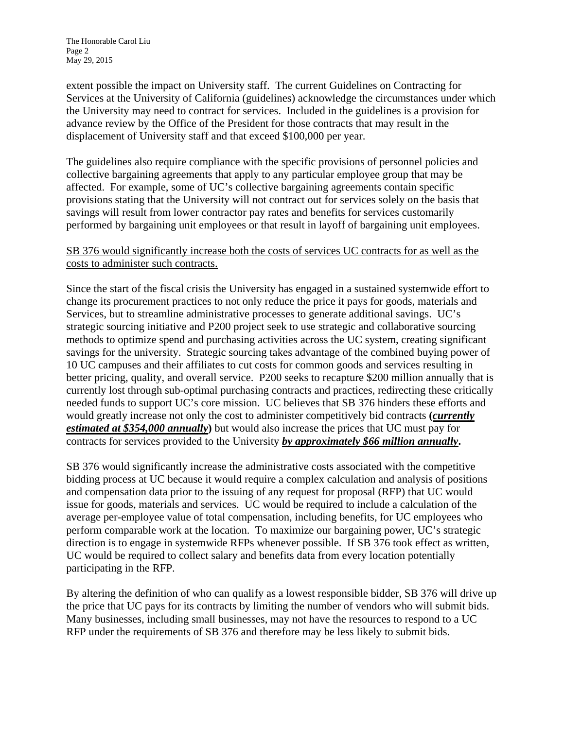extent possible the impact on University staff. The current Guidelines on Contracting for Services at the University of California (guidelines) acknowledge the circumstances under which the University may need to contract for services. Included in the guidelines is a provision for advance review by the Office of the President for those contracts that may result in the displacement of University staff and that exceed \$100,000 per year.

The guidelines also require compliance with the specific provisions of personnel policies and collective bargaining agreements that apply to any particular employee group that may be affected. For example, some of UC's collective bargaining agreements contain specific provisions stating that the University will not contract out for services solely on the basis that savings will result from lower contractor pay rates and benefits for services customarily performed by bargaining unit employees or that result in layoff of bargaining unit employees.

## SB 376 would significantly increase both the costs of services UC contracts for as well as the costs to administer such contracts.

Since the start of the fiscal crisis the University has engaged in a sustained systemwide effort to change its procurement practices to not only reduce the price it pays for goods, materials and Services, but to streamline administrative processes to generate additional savings. UC's strategic sourcing initiative and P200 project seek to use strategic and collaborative sourcing methods to optimize spend and purchasing activities across the UC system, creating significant savings for the university. Strategic sourcing takes advantage of the combined buying power of 10 UC campuses and their affiliates to cut costs for common goods and services resulting in better pricing, quality, and overall service. P200 seeks to recapture \$200 million annually that is currently lost through sub-optimal purchasing contracts and practices, redirecting these critically needed funds to support UC's core mission. UC believes that SB 376 hinders these efforts and would greatly increase not only the cost to administer competitively bid contracts **(***currently estimated at \$354,000 annually***)** but would also increase the prices that UC must pay for contracts for services provided to the University *by approximately \$66 million annually***.** 

SB 376 would significantly increase the administrative costs associated with the competitive bidding process at UC because it would require a complex calculation and analysis of positions and compensation data prior to the issuing of any request for proposal (RFP) that UC would issue for goods, materials and services. UC would be required to include a calculation of the average per-employee value of total compensation, including benefits, for UC employees who perform comparable work at the location. To maximize our bargaining power, UC's strategic direction is to engage in systemwide RFPs whenever possible. If SB 376 took effect as written, UC would be required to collect salary and benefits data from every location potentially participating in the RFP.

By altering the definition of who can qualify as a lowest responsible bidder, SB 376 will drive up the price that UC pays for its contracts by limiting the number of vendors who will submit bids. Many businesses, including small businesses, may not have the resources to respond to a UC RFP under the requirements of SB 376 and therefore may be less likely to submit bids.